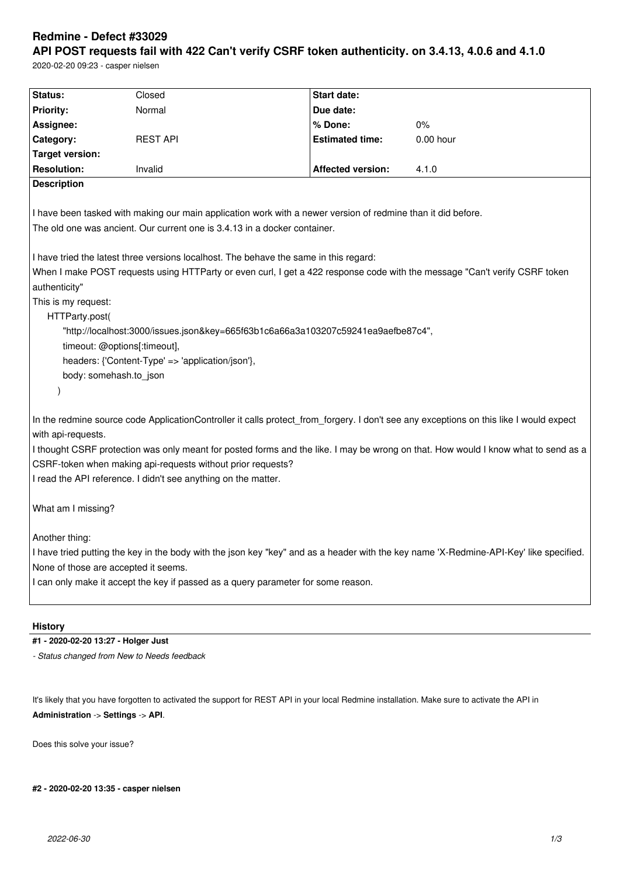# **Redmine - Defect #33029**

**API POST requests fail with 422 Can't verify CSRF token authenticity. on 3.4.13, 4.0.6 and 4.1.0** 2020-02-20 09:23 - casper nielsen

| <b>Status:</b>                                                                                                                         | Closed                                                                                                                                 | <b>Start date:</b>       |                                                                                                                                    |  |  |  |
|----------------------------------------------------------------------------------------------------------------------------------------|----------------------------------------------------------------------------------------------------------------------------------------|--------------------------|------------------------------------------------------------------------------------------------------------------------------------|--|--|--|
| <b>Priority:</b>                                                                                                                       | Normal                                                                                                                                 | Due date:                |                                                                                                                                    |  |  |  |
| Assignee:                                                                                                                              |                                                                                                                                        | % Done:                  | 0%                                                                                                                                 |  |  |  |
| Category:                                                                                                                              | <b>REST API</b>                                                                                                                        | <b>Estimated time:</b>   | $0.00$ hour                                                                                                                        |  |  |  |
| <b>Target version:</b>                                                                                                                 |                                                                                                                                        |                          |                                                                                                                                    |  |  |  |
| <b>Resolution:</b>                                                                                                                     | Invalid                                                                                                                                | <b>Affected version:</b> | 4.1.0                                                                                                                              |  |  |  |
| <b>Description</b>                                                                                                                     |                                                                                                                                        |                          |                                                                                                                                    |  |  |  |
|                                                                                                                                        |                                                                                                                                        |                          |                                                                                                                                    |  |  |  |
|                                                                                                                                        | I have been tasked with making our main application work with a newer version of redmine than it did before.                           |                          |                                                                                                                                    |  |  |  |
| The old one was ancient. Our current one is 3.4.13 in a docker container.                                                              |                                                                                                                                        |                          |                                                                                                                                    |  |  |  |
|                                                                                                                                        |                                                                                                                                        |                          |                                                                                                                                    |  |  |  |
| I have tried the latest three versions localhost. The behave the same in this regard:                                                  |                                                                                                                                        |                          |                                                                                                                                    |  |  |  |
| When I make POST requests using HTTParty or even curl, I get a 422 response code with the message "Can't verify CSRF token             |                                                                                                                                        |                          |                                                                                                                                    |  |  |  |
| authenticity"                                                                                                                          |                                                                                                                                        |                          |                                                                                                                                    |  |  |  |
| This is my request:                                                                                                                    |                                                                                                                                        |                          |                                                                                                                                    |  |  |  |
| HTTParty.post(                                                                                                                         |                                                                                                                                        |                          |                                                                                                                                    |  |  |  |
|                                                                                                                                        | "http://localhost:3000/issues.json&key=665f63b1c6a66a3a103207c59241ea9aefbe87c4",                                                      |                          |                                                                                                                                    |  |  |  |
| timeout: @options[:timeout],                                                                                                           |                                                                                                                                        |                          |                                                                                                                                    |  |  |  |
| headers: {'Content-Type' => 'application/json'},                                                                                       |                                                                                                                                        |                          |                                                                                                                                    |  |  |  |
| body: somehash.to_json                                                                                                                 |                                                                                                                                        |                          |                                                                                                                                    |  |  |  |
|                                                                                                                                        |                                                                                                                                        |                          |                                                                                                                                    |  |  |  |
|                                                                                                                                        |                                                                                                                                        |                          |                                                                                                                                    |  |  |  |
|                                                                                                                                        | In the redmine source code ApplicationController it calls protect_from_forgery. I don't see any exceptions on this like I would expect |                          |                                                                                                                                    |  |  |  |
| with api-requests.                                                                                                                     |                                                                                                                                        |                          |                                                                                                                                    |  |  |  |
|                                                                                                                                        |                                                                                                                                        |                          | I thought CSRF protection was only meant for posted forms and the like. I may be wrong on that. How would I know what to send as a |  |  |  |
|                                                                                                                                        | CSRF-token when making api-requests without prior requests?                                                                            |                          |                                                                                                                                    |  |  |  |
|                                                                                                                                        | I read the API reference. I didn't see anything on the matter.                                                                         |                          |                                                                                                                                    |  |  |  |
|                                                                                                                                        |                                                                                                                                        |                          |                                                                                                                                    |  |  |  |
| What am I missing?                                                                                                                     |                                                                                                                                        |                          |                                                                                                                                    |  |  |  |
|                                                                                                                                        |                                                                                                                                        |                          |                                                                                                                                    |  |  |  |
| Another thing:                                                                                                                         |                                                                                                                                        |                          |                                                                                                                                    |  |  |  |
| I have tried putting the key in the body with the json key "key" and as a header with the key name 'X-Redmine-API-Key' like specified. |                                                                                                                                        |                          |                                                                                                                                    |  |  |  |
| None of those are accepted it seems.                                                                                                   |                                                                                                                                        |                          |                                                                                                                                    |  |  |  |
|                                                                                                                                        | I can only make it accept the key if passed as a query parameter for some reason.                                                      |                          |                                                                                                                                    |  |  |  |
|                                                                                                                                        |                                                                                                                                        |                          |                                                                                                                                    |  |  |  |
|                                                                                                                                        |                                                                                                                                        |                          |                                                                                                                                    |  |  |  |

# **History**

## **#1 - 2020-02-20 13:27 - Holger Just**

*- Status changed from New to Needs feedback*

It's likely that you have forgotten to activated the support for REST API in your local Redmine installation. Make sure to activate the API in **Administration** -> **Settings** -> **API**.

Does this solve your issue?

**#2 - 2020-02-20 13:35 - casper nielsen**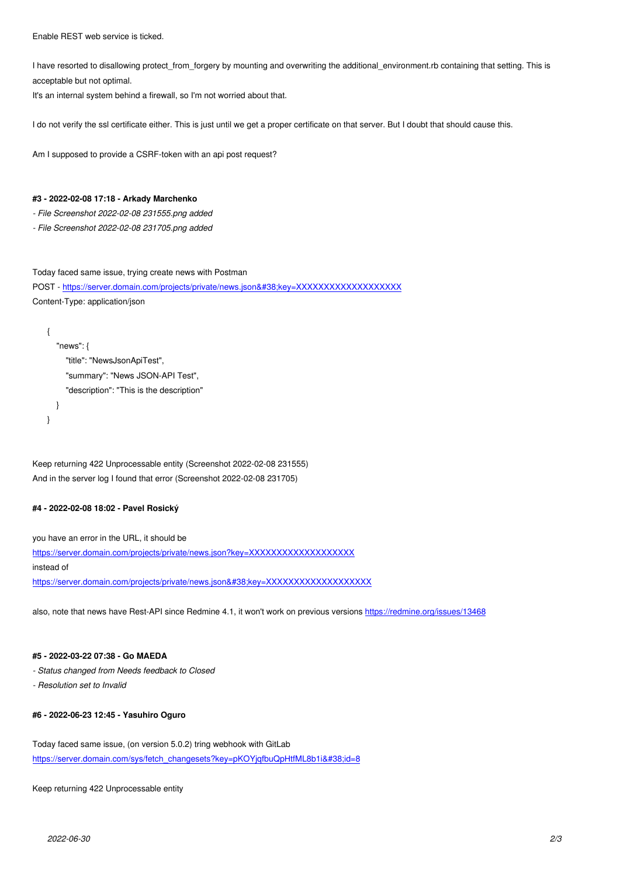I have resorted to disallowing protect\_from\_forgery by mounting and overwriting the additional\_environment.rb containing that setting. This is acceptable but not optimal.

It's an internal system behind a firewall, so I'm not worried about that.

I do not verify the ssl certificate either. This is just until we get a proper certificate on that server. But I doubt that should cause this.

Am I supposed to provide a CSRF-token with an api post request?

#### **#3 - 2022-02-08 17:18 - Arkady Marchenko**

*- File Screenshot 2022-02-08 231555.png added*

*- File Screenshot 2022-02-08 231705.png added*

Today faced same issue, trying create news with Postman POST - https://server.domain.com/projects/private/news.json&key=XXXXXXXXXXXXXXXXXXXX Content-Type: application/json

```
{
    "news": {
      "title": "NewsJsonApiTest",
      "summary": "News JSON-API Test",
      "description": "This is the description" 
   }
}
```
Keep returning 422 Unprocessable entity (Screenshot 2022-02-08 231555) And in the server log I found that error (Screenshot 2022-02-08 231705)

## **#4 - 2022-02-08 18:02 - Pavel Rosický**

you have an error in the URL, it should be https://server.domain.com/projects/private/news.json?key=XXXXXXXXXXXXXXXXXXXXXXXX instead of https://server.domain.com/projects/private/news.json&key=XXXXXXXXXXXXXXXXXXX

[also, note that news have Rest-API since Redmine 4.1, it won't work on previous version](https://server.domain.com/projects/private/news.json?key=XXXXXXXXXXXXXXXXXXX)s https://redmine.org/issues/13468

#### **#5 - 2022-03-22 07:38 - Go MAEDA**

- *Status changed from Needs feedback to Closed*
- *Resolution set to Invalid*

## **#6 - 2022-06-23 12:45 - Yasuhiro Oguro**

Today faced same issue, (on version 5.0.2) tring webhook with GitLab https://server.domain.com/sys/fetch\_changesets?key=pKOYjqfbuQpHtfML8b1i&id=8

Keep returning 422 Unprocessable entity